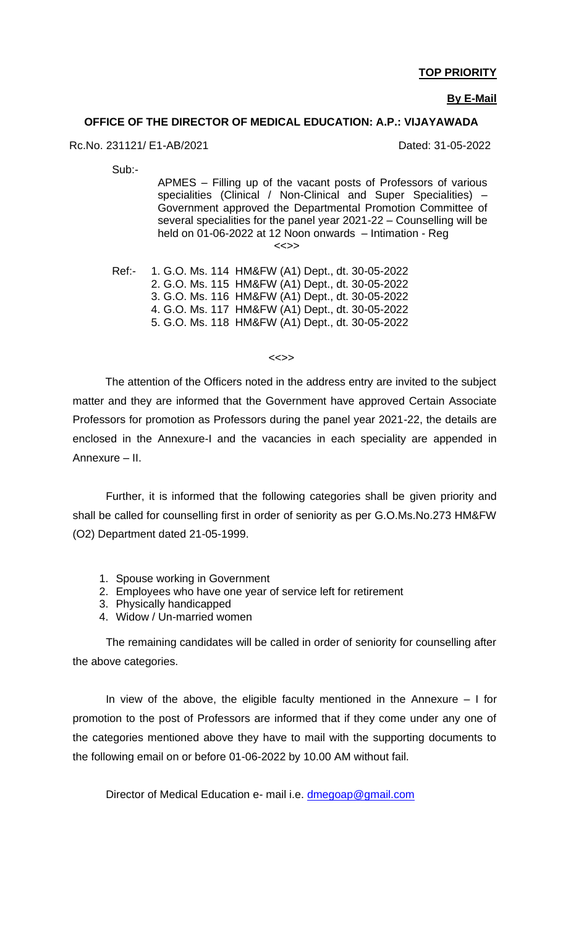#### **TOP PRIORITY**

#### **By E-Mail**

#### **OFFICE OF THE DIRECTOR OF MEDICAL EDUCATION: A.P.: VIJAYAWADA**

Rc.No. 231121/ E1-AB/2021 Dated: 31-05-2022

Sub:-

APMES – Filling up of the vacant posts of Professors of various specialities (Clinical / Non-Clinical and Super Specialities) – Government approved the Departmental Promotion Committee of several specialities for the panel year 2021-22 – Counselling will be held on 01-06-2022 at 12 Noon onwards – Intimation - Reg <<>>

Ref:- 1. G.O. Ms. 114 HM&FW (A1) Dept., dt. 30-05-2022 2. G.O. Ms. 115 HM&FW (A1) Dept., dt. 30-05-2022 3. G.O. Ms. 116 HM&FW (A1) Dept., dt. 30-05-2022 4. G.O. Ms. 117 HM&FW (A1) Dept., dt. 30-05-2022 5. G.O. Ms. 118 HM&FW (A1) Dept., dt. 30-05-2022

<<>>

 The attention of the Officers noted in the address entry are invited to the subject matter and they are informed that the Government have approved Certain Associate Professors for promotion as Professors during the panel year 2021-22, the details are enclosed in the Annexure-I and the vacancies in each speciality are appended in Annexure – II.

Further, it is informed that the following categories shall be given priority and shall be called for counselling first in order of seniority as per G.O.Ms.No.273 HM&FW (O2) Department dated 21-05-1999.

- 1. Spouse working in Government
- 2. Employees who have one year of service left for retirement
- 3. Physically handicapped
- 4. Widow / Un-married women

The remaining candidates will be called in order of seniority for counselling after the above categories.

In view of the above, the eligible faculty mentioned in the Annexure  $-1$  for promotion to the post of Professors are informed that if they come under any one of the categories mentioned above they have to mail with the supporting documents to the following email on or before 01-06-2022 by 10.00 AM without fail.

Director of Medical Education e- mail i.e. [dmegoap@gmail.com](mailto:dmegoap@gmail.com)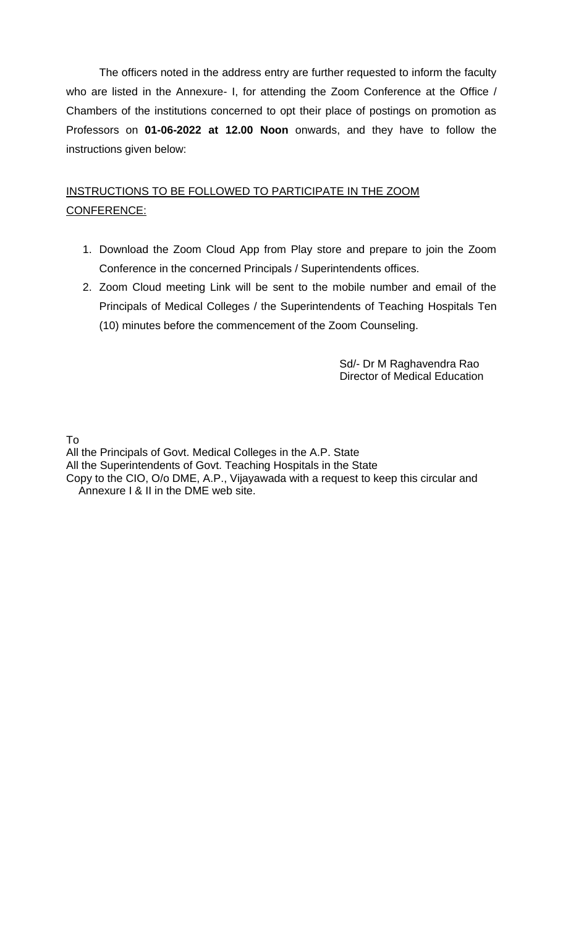The officers noted in the address entry are further requested to inform the faculty who are listed in the Annexure- I, for attending the Zoom Conference at the Office / Chambers of the institutions concerned to opt their place of postings on promotion as Professors on **01-06-2022 at 12.00 Noon** onwards, and they have to follow the instructions given below:

## INSTRUCTIONS TO BE FOLLOWED TO PARTICIPATE IN THE ZOOM CONFERENCE:

- 1. Download the Zoom Cloud App from Play store and prepare to join the Zoom Conference in the concerned Principals / Superintendents offices.
- 2. Zoom Cloud meeting Link will be sent to the mobile number and email of the Principals of Medical Colleges / the Superintendents of Teaching Hospitals Ten (10) minutes before the commencement of the Zoom Counseling.

 Sd/- Dr M Raghavendra Rao Director of Medical Education

To

All the Principals of Govt. Medical Colleges in the A.P. State All the Superintendents of Govt. Teaching Hospitals in the State Copy to the CIO, O/o DME, A.P., Vijayawada with a request to keep this circular and Annexure I & II in the DME web site.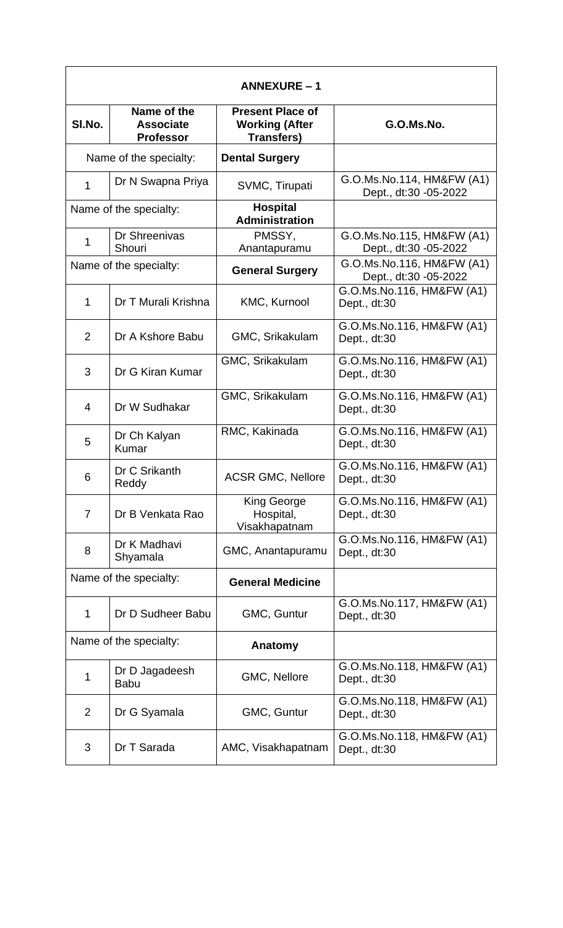| <b>ANNEXURE-1</b>      |                                                     |                                                                       |                                                    |
|------------------------|-----------------------------------------------------|-----------------------------------------------------------------------|----------------------------------------------------|
| SI.No.                 | Name of the<br><b>Associate</b><br><b>Professor</b> | <b>Present Place of</b><br><b>Working (After</b><br><b>Transfers)</b> | G.O.Ms.No.                                         |
|                        | Name of the specialty:                              | <b>Dental Surgery</b>                                                 |                                                    |
| $\mathbf{1}$           | Dr N Swapna Priya                                   | SVMC, Tirupati                                                        | G.O.Ms.No.114, HM&FW (A1)<br>Dept., dt:30 -05-2022 |
| Name of the specialty: |                                                     | <b>Hospital</b><br><b>Administration</b>                              |                                                    |
| 1                      | Dr Shreenivas<br>Shouri                             | PMSSY,<br>Anantapuramu                                                | G.O.Ms.No.115, HM&FW (A1)<br>Dept., dt:30 -05-2022 |
|                        | Name of the specialty:                              | <b>General Surgery</b>                                                | G.O.Ms.No.116, HM&FW (A1)<br>Dept., dt:30 -05-2022 |
| 1                      | Dr T Murali Krishna                                 | KMC, Kurnool                                                          | G.O.Ms.No.116, HM&FW (A1)<br>Dept., dt:30          |
| $\overline{2}$         | Dr A Kshore Babu                                    | GMC, Srikakulam                                                       | G.O.Ms.No.116, HM&FW (A1)<br>Dept., dt:30          |
| 3                      | Dr G Kiran Kumar                                    | GMC, Srikakulam                                                       | G.O.Ms.No.116, HM&FW (A1)<br>Dept., dt:30          |
| 4                      | Dr W Sudhakar                                       | GMC, Srikakulam                                                       | G.O.Ms.No.116, HM&FW (A1)<br>Dept., dt:30          |
| 5                      | Dr Ch Kalyan<br>Kumar                               | RMC, Kakinada                                                         | G.O.Ms.No.116, HM&FW (A1)<br>Dept., dt:30          |
| 6                      | Dr C Srikanth<br>Reddy                              | <b>ACSR GMC, Nellore</b>                                              | G.O.Ms.No.116, HM&FW (A1)<br>Dept., dt:30          |
| $\overline{7}$         | Dr B Venkata Rao                                    | King George<br>Hospital,<br>Visakhapatnam                             | G.O.Ms.No.116, HM&FW (A1)<br>Dept., dt:30          |
| 8                      | Dr K Madhavi<br>Shyamala                            | GMC, Anantapuramu                                                     | G.O.Ms.No.116, HM&FW (A1)<br>Dept., dt:30          |
|                        | Name of the specialty:                              | <b>General Medicine</b>                                               |                                                    |
| 1                      | Dr D Sudheer Babu                                   | GMC, Guntur                                                           | G.O.Ms.No.117, HM&FW (A1)<br>Dept., dt:30          |
| Name of the specialty: |                                                     | Anatomy                                                               |                                                    |
| 1                      | Dr D Jagadeesh<br><b>Babu</b>                       | GMC, Nellore                                                          | G.O.Ms.No.118, HM&FW (A1)<br>Dept., dt:30          |
| $\overline{2}$         | Dr G Syamala                                        | GMC, Guntur                                                           | G.O.Ms.No.118, HM&FW (A1)<br>Dept., dt:30          |
| 3                      | Dr T Sarada                                         | AMC, Visakhapatnam                                                    | G.O.Ms.No.118, HM&FW (A1)<br>Dept., dt:30          |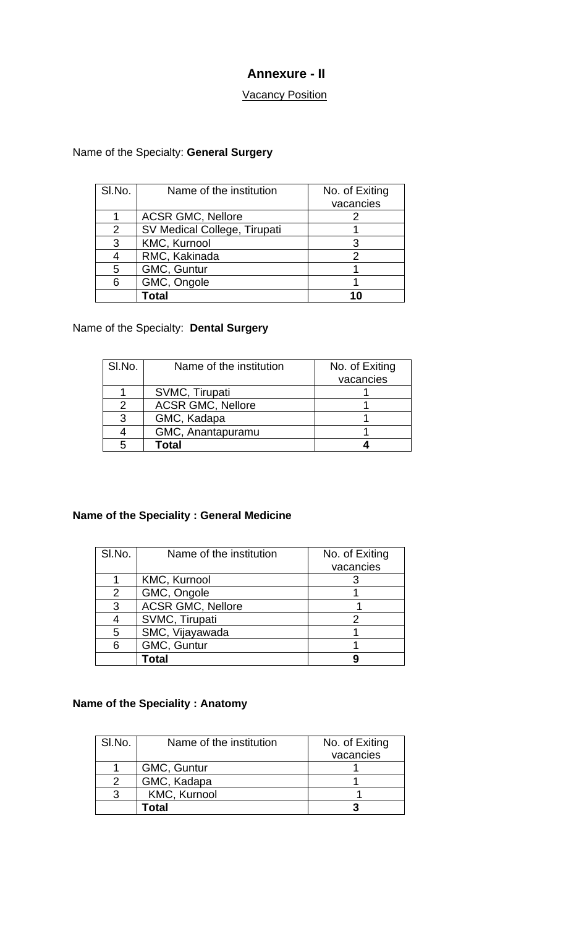## **Annexure - II**

### **Vacancy Position**

## Name of the Specialty: **General Surgery**

| SI.No.         | Name of the institution      | No. of Exiting |
|----------------|------------------------------|----------------|
|                |                              | vacancies      |
|                | <b>ACSR GMC, Nellore</b>     |                |
| $\overline{2}$ | SV Medical College, Tirupati |                |
| 3              | KMC, Kurnool                 |                |
|                | RMC, Kakinada                |                |
| 5              | GMC, Guntur                  |                |
| 6              | GMC, Ongole                  |                |
|                | <b>Fotal</b>                 |                |

# Name of the Specialty: **Dental Surgery**

| SI.No. | Name of the institution  | No. of Exiting |
|--------|--------------------------|----------------|
|        |                          | vacancies      |
|        | SVMC, Tirupati           |                |
|        | <b>ACSR GMC, Nellore</b> |                |
| 3      | GMC, Kadapa              |                |
|        | GMC, Anantapuramu        |                |
| 5      | Total                    |                |

## **Name of the Speciality : General Medicine**

| SI.No. | Name of the institution  | No. of Exiting |
|--------|--------------------------|----------------|
|        |                          | vacancies      |
|        | <b>KMC, Kurnool</b>      |                |
| 2      | GMC, Ongole              |                |
| 3      | <b>ACSR GMC, Nellore</b> |                |
|        | SVMC, Tirupati           |                |
| 5      | SMC, Vijayawada          |                |
| 6      | GMC, Guntur              |                |
|        | Total                    |                |

#### **Name of the Speciality : Anatomy**

| SI.No. | Name of the institution | No. of Exiting |
|--------|-------------------------|----------------|
|        |                         | vacancies      |
|        | GMC, Guntur             |                |
|        | GMC, Kadapa             |                |
| 2      | <b>KMC, Kurnool</b>     |                |
|        | Гоtal                   |                |